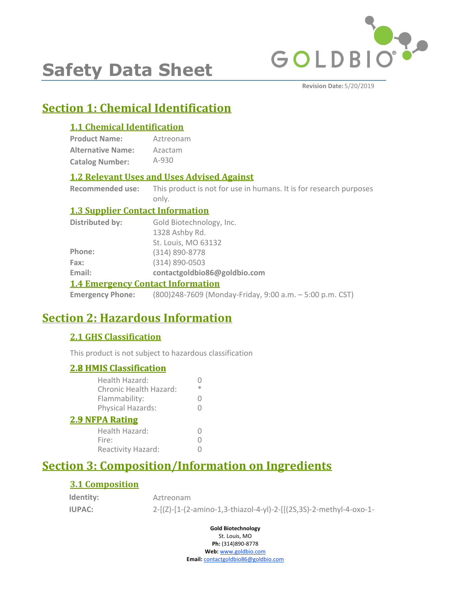

# **Safety Data Sheet**

**Revision Date:** 5/20/2019

# **Section 1: Chemical Identification**

#### **1.1 Chemical Identification**

**Product Name: Alternative Name: Catalog Number:** Aztreonam Azactam A-930

#### **1.2 Relevant Uses and Uses Advised Against**

**Recommended use:** This product is not for use in humans. It is for research purposes only.

#### **1.3 Supplier Contact Information**

| Distributed by:                          | Gold Biotechnology, Inc.     |  |
|------------------------------------------|------------------------------|--|
|                                          | 1328 Ashby Rd.               |  |
|                                          | St. Louis, MO 63132          |  |
| Phone:                                   | (314) 890-8778               |  |
| Fax:                                     | $(314) 890 - 0503$           |  |
| Email:                                   | contactgoldbio86@goldbio.com |  |
| <b>1.4 Emergency Contact Information</b> |                              |  |

**Emergency Phone:** (800)248-7609 (Monday-Friday, 9:00 a.m. – 5:00 p.m. CST)

# **Section 2: Hazardous Information**

#### **2.1 GHS Classification**

This product is not subject to hazardous classification

#### **2.8 HMIS Classification**

| <u><b>2.8 HMIS Classification</b></u>    |   |
|------------------------------------------|---|
| Health Hazard:<br>Chronic Health Hazard: | ж |
| Flammability:                            | 0 |
| Physical Hazards:                        |   |
| <b>2.9 NFPA Rating</b>                   |   |
| Health Hazard:                           |   |
| Fire:                                    |   |
| Reactivity Hazard:                       |   |
|                                          |   |

# **Section 3: Composition/Information on Ingredients**

#### **3.1 Composition**

**Identity:**

**IUPAC:** 2-[(Z)-[1-(2-amino-1,3-thiazol-4-yl)-2-[[(2S,3S)-2-methyl-4-oxo-1- Aztreonam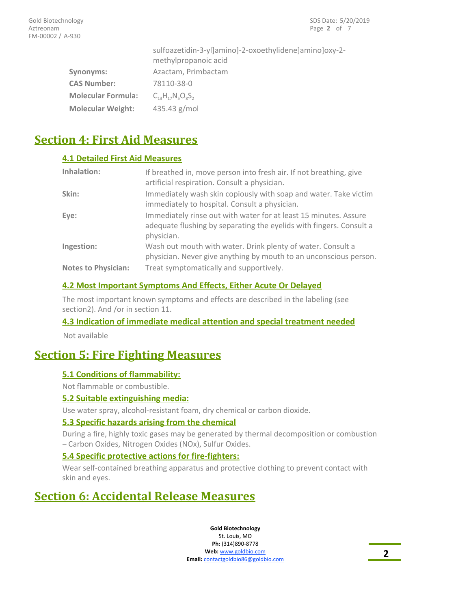|                           | sulfoazetidin-3-yl]amino]-2-oxoethylidene]amino]oxy-2-<br>methylpropanoic acid |  |
|---------------------------|--------------------------------------------------------------------------------|--|
| Synonyms:                 | Azactam, Primbactam                                                            |  |
| <b>CAS Number:</b>        | 78110-38-0                                                                     |  |
| <b>Molecular Formula:</b> | $C_{12}H_{17}N_{5}O_{6}S_{2}$                                                  |  |
| <b>Molecular Weight:</b>  | 435.43 g/mol                                                                   |  |

# **Section 4: First Aid Measures**

#### **4.1 Detailed First Aid Measures**

| Inhalation:                | If breathed in, move person into fresh air. If not breathing, give<br>artificial respiration. Consult a physician.                                    |
|----------------------------|-------------------------------------------------------------------------------------------------------------------------------------------------------|
| Skin:                      | Immediately wash skin copiously with soap and water. Take victim<br>immediately to hospital. Consult a physician.                                     |
| Eye:                       | Immediately rinse out with water for at least 15 minutes. Assure<br>adequate flushing by separating the eyelids with fingers. Consult a<br>physician. |
| Ingestion:                 | Wash out mouth with water. Drink plenty of water. Consult a<br>physician. Never give anything by mouth to an unconscious person.                      |
| <b>Notes to Physician:</b> | Treat symptomatically and supportively.                                                                                                               |

#### **4.2 Most Important Symptoms And Effects, Either Acute Or Delayed**

The most important known symptoms and effects are described in the labeling (see section2). And /or in section 11.

#### **4.3 Indication of immediate medical attention and special treatment needed**

Not available

# **Section 5: Fire Fighting Measures**

#### **5.1 Conditions of flammability:**

Not flammable or combustible.

#### **5.2 Suitable extinguishing media:**

Use water spray, alcohol-resistant foam, dry chemical or carbon dioxide.

#### **5.3 Specific hazards arising from the chemical**

During a fire, highly toxic gases may be generated by thermal decomposition or combustion – Carbon Oxides, Nitrogen Oxides (NOx), Sulfur Oxides.

#### **5.4 Specific protective actions for fire-fighters:**

Wear self-contained breathing apparatus and protective clothing to prevent contact with skin and eyes.

# **Section 6: Accidental Release Measures**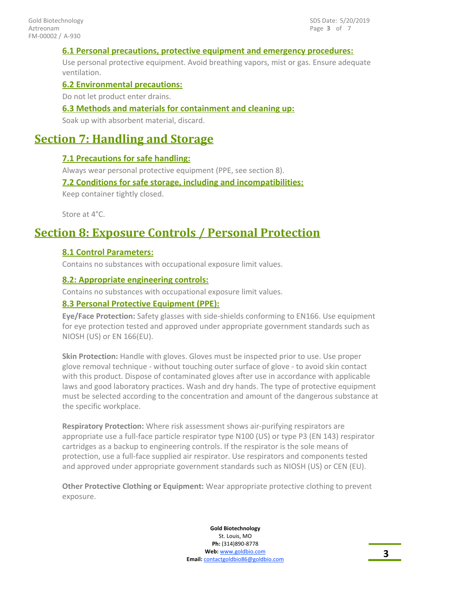#### **6.1 Personal precautions, protective equipment and emergency procedures:**

Use personal protective equipment. Avoid breathing vapors, mist or gas. Ensure adequate ventilation.

#### **6.2 Environmental precautions:**

Do not let product enter drains.

#### **6.3 Methods and materials for containment and cleaning up:**

Soak up with absorbent material, discard.

### **Section 7: Handling and Storage**

#### **7.1 Precautions for safe handling:**

Always wear personal protective equipment (PPE, see section 8).

#### **7.2 Conditions for safe storage, including and incompatibilities:**

Keep container tightly closed.

Store at 4°C.

### **Section 8: Exposure Controls / Personal Protection**

#### **8.1 Control Parameters:**

Contains no substances with occupational exposure limit values.

#### **8.2: Appropriate engineering controls:**

Contains no substances with occupational exposure limit values.

#### **8.3 Personal Protective Equipment (PPE):**

**Eye/Face Protection:** Safety glasses with side-shields conforming to EN166. Use equipment for eye protection tested and approved under appropriate government standards such as NIOSH (US) or EN 166(EU).

**Skin Protection:** Handle with gloves. Gloves must be inspected prior to use. Use proper glove removal technique - without touching outer surface of glove - to avoid skin contact with this product. Dispose of contaminated gloves after use in accordance with applicable laws and good laboratory practices. Wash and dry hands. The type of protective equipment must be selected according to the concentration and amount of the dangerous substance at the specific workplace.

**Respiratory Protection:** Where risk assessment shows air-purifying respirators are appropriate use a full-face particle respirator type N100 (US) or type P3 (EN 143) respirator cartridges as a backup to engineering controls. If the respirator is the sole means of protection, use a full-face supplied air respirator. Use respirators and components tested and approved under appropriate government standards such as NIOSH (US) or CEN (EU).

**Other Protective Clothing or Equipment:** Wear appropriate protective clothing to prevent exposure.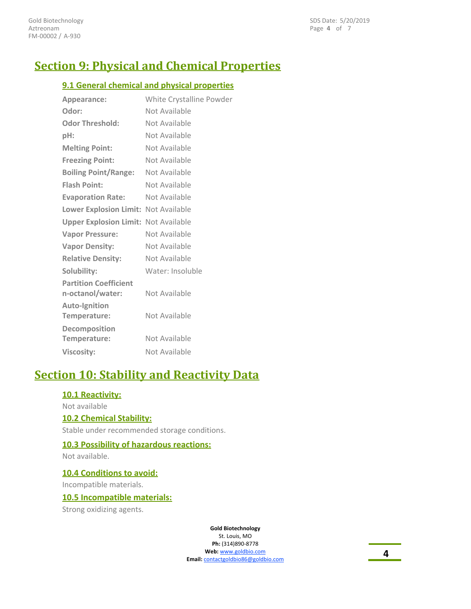# **Section 9: Physical and Chemical Properties**

#### **9.1 General chemical and physical properties**

| Appearance:                                      | White Crystalline Powder |
|--------------------------------------------------|--------------------------|
| Odor:                                            | Not Available            |
| <b>Odor Threshold:</b>                           | Not Available            |
| pH:                                              | Not Available            |
| <b>Melting Point:</b>                            | Not Available            |
| <b>Freezing Point:</b>                           | Not Available            |
| <b>Boiling Point/Range:</b>                      | Not Available            |
| <b>Flash Point:</b>                              | Not Available            |
| <b>Evaporation Rate:</b>                         | Not Available            |
| Lower Explosion Limit: Not Available             |                          |
| <b>Upper Explosion Limit: Not Available</b>      |                          |
| <b>Vapor Pressure:</b>                           | Not Available            |
| <b>Vapor Density:</b>                            | Not Available            |
| <b>Relative Density:</b>                         | Not Available            |
| Solubility:                                      | Water: Insoluble         |
| <b>Partition Coefficient</b><br>n-octanol/water: | Not Available            |
| <b>Auto-Ignition</b><br>Temperature:             | Not Available            |
| Decomposition<br>Temperature:                    | Not Available            |
| <b>Viscosity:</b>                                | Not Available            |

# **Section 10: Stability and Reactivity Data**

#### **10.1 Reactivity:**

Not available

#### **10.2 Chemical Stability:**

Stable under recommended storage conditions.

#### **10.3 Possibility of hazardous reactions:**

Not available.

**10.4 Conditions to avoid:**

Incompatible materials.

#### **10.5 Incompatible materials:**

Strong oxidizing agents.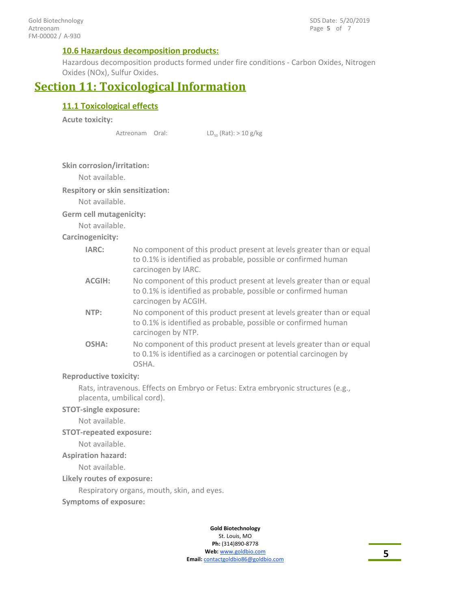#### **10.6 Hazardous decomposition products:**

Hazardous decomposition products formed under fire conditions - Carbon Oxides, Nitrogen Oxides (NOx), Sulfur Oxides.

### **Section 11: Toxicological Information**

#### **11.1 Toxicological effects**

**Acute toxicity:**

Aztreonam Oral:

 $LD_{50}$  (Rat):  $> 10$  g/kg

#### **Skin corrosion/irritation:**

Not available.

#### **Respitory or skin sensitization:**

Not available.

#### **Germ cell mutagenicity:**

Not available.

#### **Carcinogenicity:**

| IARC:         | No component of this product present at levels greater than or equal<br>to 0.1% is identified as probable, possible or confirmed human<br>carcinogen by IARC.  |
|---------------|----------------------------------------------------------------------------------------------------------------------------------------------------------------|
| <b>ACGIH:</b> | No component of this product present at levels greater than or equal<br>to 0.1% is identified as probable, possible or confirmed human<br>carcinogen by ACGIH. |
| NTP:          | No component of this product present at levels greater than or equal<br>to 0.1% is identified as probable, possible or confirmed human<br>carcinogen by NTP.   |
| OSHA:         | No component of this product present at levels greater than or equal<br>to 0.1% is identified as a carcinogen or potential carcinogen by<br>OSHA.              |

#### **Reproductive toxicity:**

Rats, intravenous. Effects on Embryo or Fetus: Extra embryonic structures (e.g., placenta, umbilical cord).

#### **STOT-single exposure:**

Not available.

#### **STOT-repeated exposure:**

Not available.

#### **Aspiration hazard:**

Not available.

#### **Likely routes of exposure:**

Respiratory organs, mouth, skin, and eyes.

**Symptoms of exposure:**

#### **Gold Biotechnology** St. Louis, MO

**Ph:** (314)890-8778 **Web:** www.goldbio.com **Email:** contactgoldbio86@goldbio.com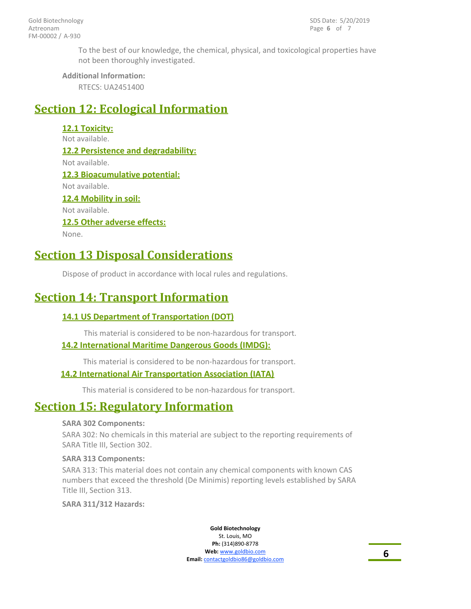To the best of our knowledge, the chemical, physical, and toxicological properties have not been thoroughly investigated.

#### **Additional Information:**

RTECS: UA2451400

# **Section 12: Ecological Information**

**12.1 Toxicity:** Not available. **12.2 Persistence and degradability:** Not available. **12.3 Bioacumulative potential:** Not available. **12.4 Mobility in soil:** Not available. **12.5 Other adverse effects:** None.

### **Section 13 Disposal Considerations**

Dispose of product in accordance with local rules and regulations.

### **Section 14: Transport Information**

#### **14.1 US Department of Transportation (DOT)**

This material is considered to be non-hazardous for transport.

#### **14.2 International Maritime Dangerous Goods (IMDG):**

This material is considered to be non-hazardous for transport.

#### **14.2 International Air Transportation Association (IATA)**

This material is considered to be non-hazardous for transport.

### **Section 15: Regulatory Information**

#### **SARA 302 Components:**

SARA 302: No chemicals in this material are subject to the reporting requirements of SARA Title III, Section 302.

#### **SARA 313 Components:**

SARA 313: This material does not contain any chemical components with known CAS numbers that exceed the threshold (De Minimis) reporting levels established by SARA Title III, Section 313.

**SARA 311/312 Hazards:**